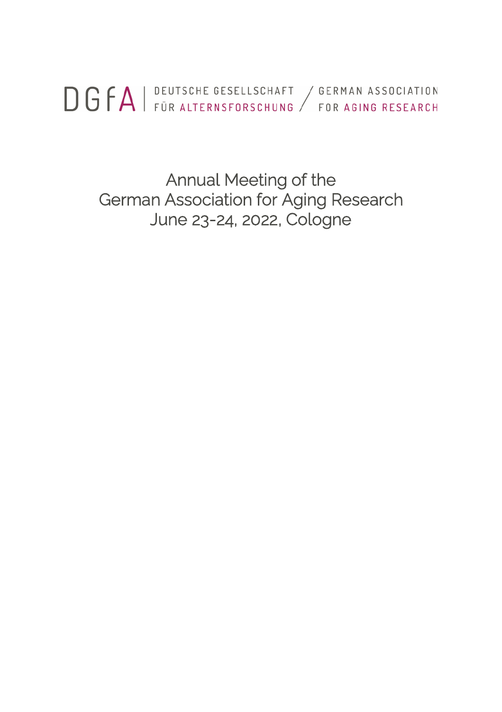DGFA | DEUTSCHE GESELLSCHAFT / GERMAN ASSOCIATION

Annual Meeting of the German Association for Aging Research June 23-24, 2022, Cologne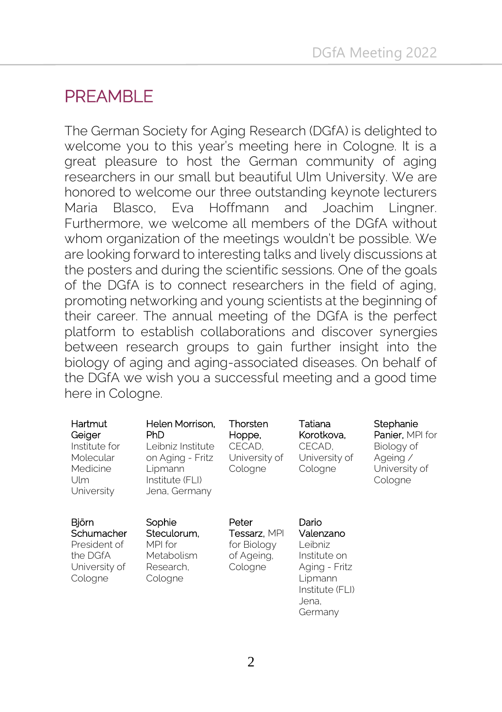# PRFAMBLE

The German Society for Aging Research (DGfA) is delighted to welcome you to this year's meeting here in Cologne. It is a great pleasure to host the German community of aging researchers in our small but beautiful Ulm University. We are honored to welcome our three outstanding keynote lecturers Maria Blasco, Eva Hoffmann and Joachim Lingner. Furthermore, we welcome all members of the DGfA without whom organization of the meetings wouldn't be possible. We are looking forward to interesting talks and lively discussions at the posters and during the scientific sessions. One of the goals of the DGfA is to connect researchers in the field of aging, promoting networking and young scientists at the beginning of their career. The annual meeting of the DGfA is the perfect platform to establish collaborations and discover synergies between research groups to gain further insight into the biology of aging and aging-associated diseases. On behalf of the DGfA we wish you a successful meeting and a good time here in Cologne.

| Hartmut<br>Geiger<br>Institute for<br>Molecular<br>Medicine<br>Ulm<br>University | Helen Morrison.<br>PhD<br>Leibniz Institute<br>on Aging - Fritz<br>Lipmann<br>Institute (FLI)<br>Jena, Germany | Thorsten<br>Hoppe,<br>CECAD.<br>University of<br>Cologne              | Tatiana<br>Korotkova.<br>CECAD.<br>University of<br>Cologne                                                      | Stephanie<br>Panier, MPI for<br>Biology of<br>Ageing /<br>University of<br>Cologne |
|----------------------------------------------------------------------------------|----------------------------------------------------------------------------------------------------------------|-----------------------------------------------------------------------|------------------------------------------------------------------------------------------------------------------|------------------------------------------------------------------------------------|
| Björn<br>Schumacher<br>President of<br>the DGfA<br>University of<br>Cologne      | Sophie<br>Steculorum.<br>MPI for<br>Metabolism<br>Research.<br>Cologne                                         | Peter<br><b>Tessarz</b> , MPI<br>for Biology<br>of Ageing,<br>Cologne | Dario<br>Valenzano<br>Leibniz<br>Institute on<br>Aging - Fritz<br>Lipmann<br>Institute (FLI)<br>Jena.<br>Germanv |                                                                                    |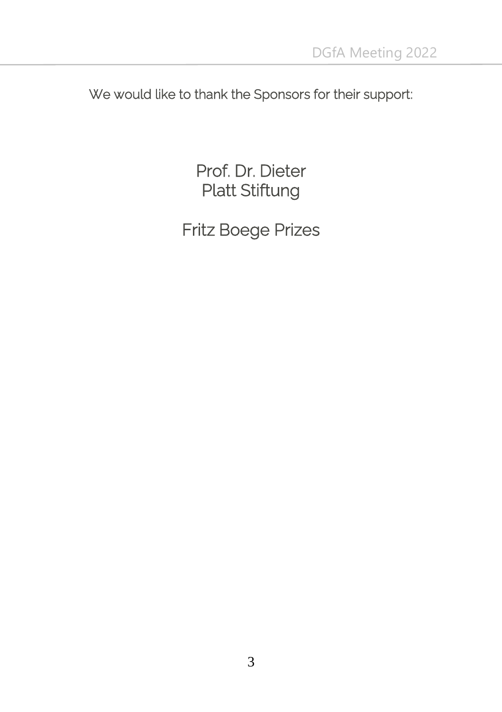We would like to thank the Sponsors for their support:

Prof. Dr. Dieter Platt Stiftung

Fritz Boege Prizes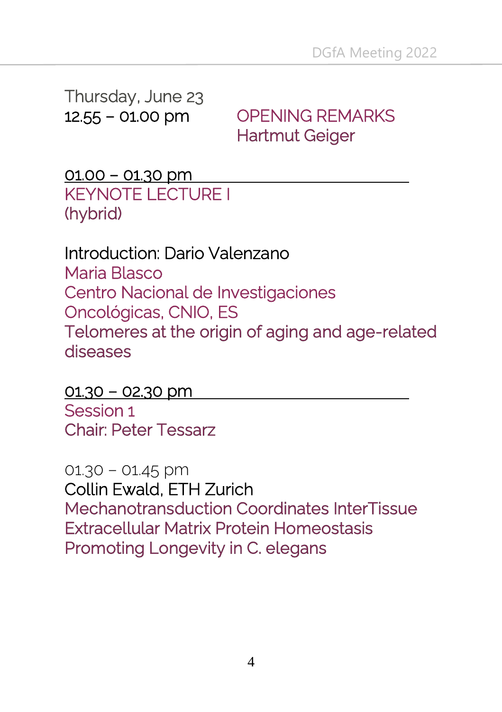Thursday, June 23

12.55 – 01.00 pm OPENING REMARKS **Hartmut Geiger** 

01.00 – 01.30 pm KEYNOTE LECTURE I (hybrid)

Introduction: Dario Valenzano Maria Blasco Centro Nacional de Investigaciones Oncológicas, CNIO, ES Telomeres at the origin of aging and age-related diseases

 $01.30 - 02.30$  pm Session 1 **Chair: Peter Tessarz** 

01.30 – 01.45 pm Collin Ewald, ETH Zurich **Mechanotransduction Coordinates InterTissue** Extracellular Matrix Protein Homeostasis Promoting Longevity in C. elegans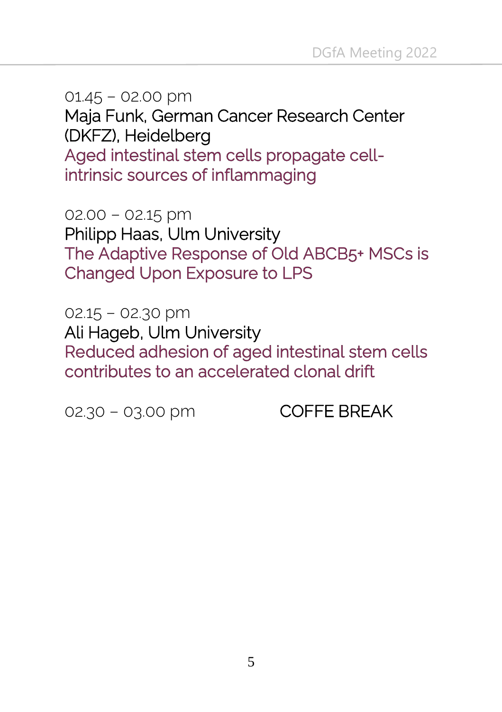01.45 – 02.00 pm Maja Funk, German Cancer Research Center (DKFZ), Heidelberg Aged intestinal stem cells propagate cellintrinsic sources of inflammaging

 $02.00 - 02.15$  pm Philipp Haas, Ulm University The Adaptive Response of Old ABCB5+ MSCs is **Changed Upon Exposure to LPS** 

02.15 – 02.30 pm Ali Hageb, Ulm University Reduced adhesion of aged intestinal stem cells contributes to an accelerated clonal drift

02.30 – 03.00 pm COFFE BREAK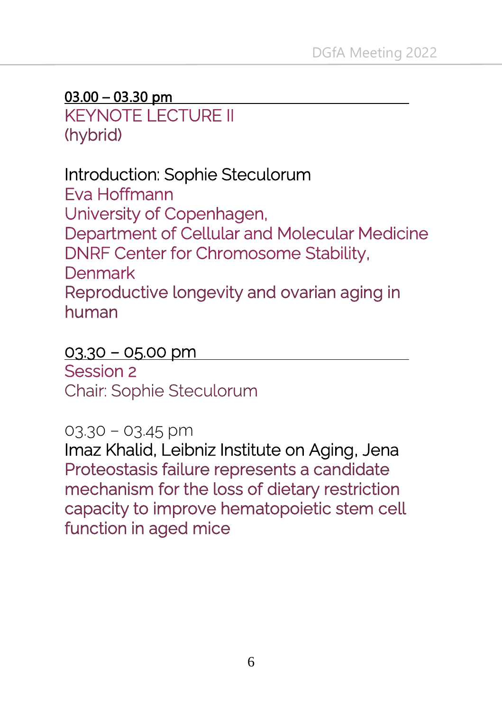#### $03.00 - 03.30$  pm

KEYNOTE LECTURE II (hybrid)

# Introduction: Sophie Steculorum

Eva Hoffmann University of Copenhagen, Department of Cellular and Molecular Medicine DNRF Center for Chromosome Stability, Denmark Reproductive longevity and ovarian aging in human

#### $03.30 - 05.00$  pm

Session 2 **Chair: Sophie Steculorum** 

#### 03.30 – 03.45 pm

Imaz Khalid, Leibniz Institute on Aging, JenaProteostasis failure represents a candidate mechanism for the loss of dietary restriction capacity to improve hematopoietic stem cell function in aged mice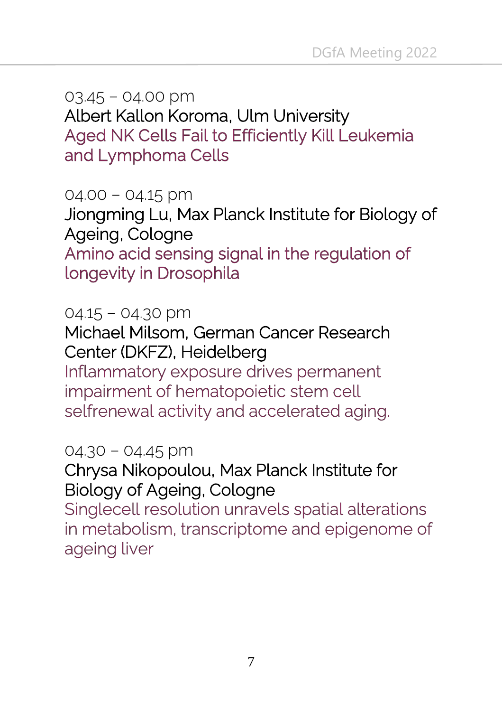03.45 – 04.00 pm Albert Kallon Koroma, Ulm University Aged NK Cells Fail to Efficiently Kill Leukemia and Lymphoma Cells

04.00 – 04.15 pm Jiongming Lu, Max Planck Institute for Biology of Ageing, Cologne Amino acid sensing signal in the regulation of **longevity in Drosophila** 

04.15 – 04.30 pm

Michael Milsom, German Cancer Research Center (DKFZ), Heidelberg

Inflammatory exposure drives permanent impairment of hematopoietic stem cell selfrenewal activity and accelerated aging.

04.30 – 04.45 pm

Chrysa Nikopoulou, Max Planck Institute for Biology of Ageing, Cologne

Singlecell resolution unravels spatial alterations in metabolism, transcriptome and epigenome of ageing liver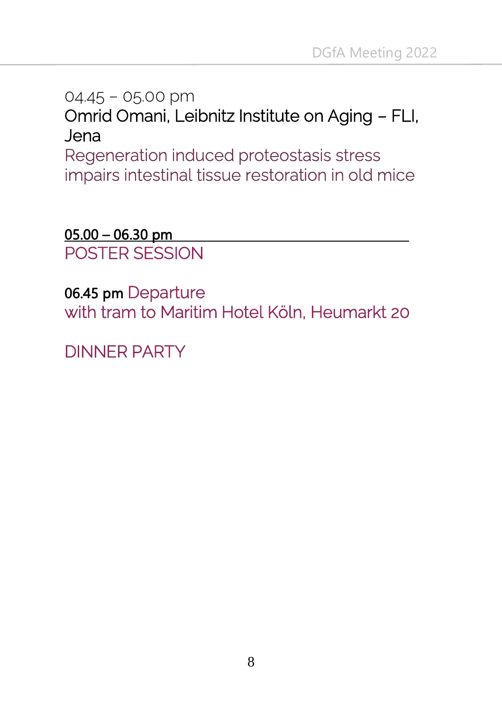04.45 – 05.00 pm Omrid Omani, Leibnitz Institute on Aging – FLI, Jena Regeneration induced proteostasis stress

impairs intestinal tissue restoration in old mice

05.00 – 06.30 pm POSTER SESSION

06.45 pm Departure with tram to Maritim Hotel Köln, Heumarkt 20

DINNER PARTY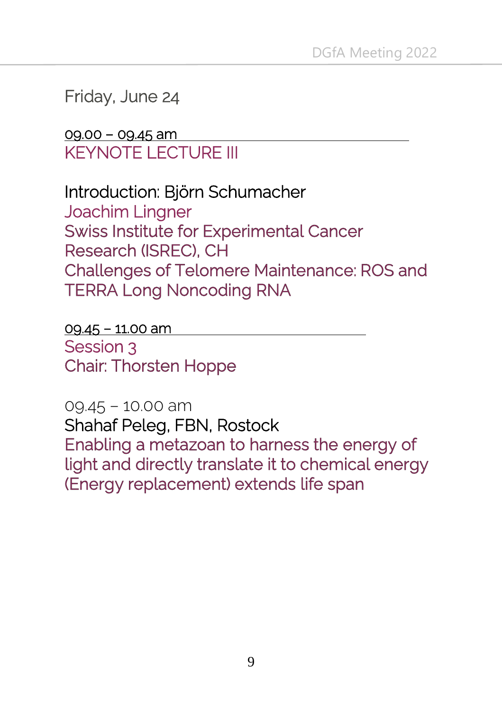### Friday, June 24

### 09.00 – 09.45 am KEYNOTE LECTURE III

Introduction: Björn Schumacher Joachim Lingner **Swiss Institute for Experimental Cancer** Research (ISREC), CH **Challenges of Telomere Maintenance: ROS and TERRA Long Noncoding RNA** 

09.45 – 11.00 am Session 3 **Chair: Thorsten Hoppe** 

09.45 – 10.00 am Shahaf Peleg, FBN, Rostock Enabling a metazoan to harness the energy of light and directly translate it to chemical energy (Energy replacement) extends life span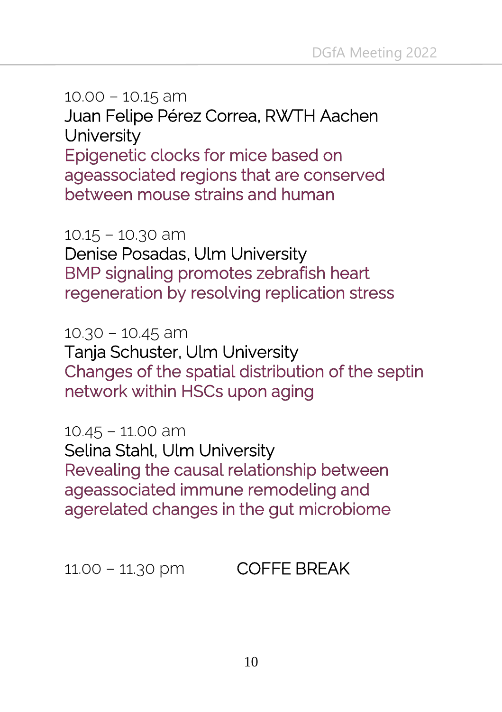10.00 – 10.15 am Juan Felipe Pérez Correa, RWTH Aachen **University** Epigenetic clocks for mice based on ageassociated regions that are conserved between mouse strains and human

10.15 – 10.30 am Denise Posadas, Ulm University **BMP signaling promotes zebrafish heart** regeneration by resolving replication stress

10.30 – 10.45 am Tanja Schuster, Ulm University Changes of the spatial distribution of the septin network within HSCs upon aging

10.45 – 11.00 am Selina Stahl, Ulm University Revealing the causal relationship between ageassociated immune remodeling and agerelated changes in the gut microbiome

11.00 – 11.30 pm COFFE BREAK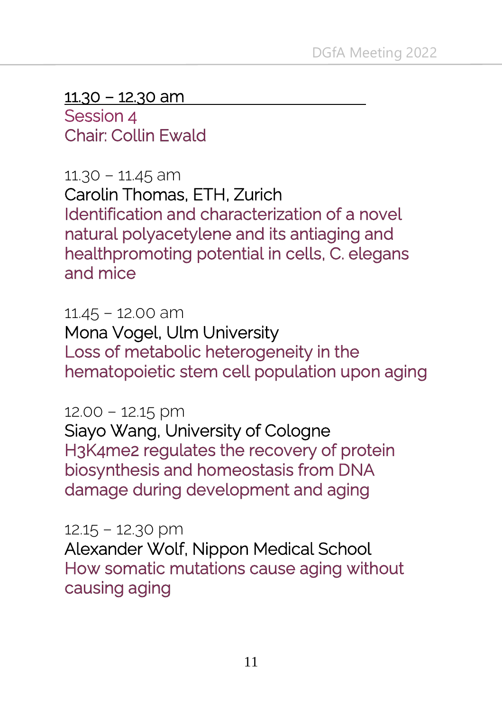$11.30 - 12.30$  am

Session 4 **Chair: Collin Ewald** 

11.30 – 11.45 am Carolin Thomas, ETH, Zurich Identification and characterization of a novel natural polyacetylene and its antiaging and healthpromoting potential in cells, C. elegans and mice

11.45 – 12.00 am Mona Vogel, Ulm University Loss of metabolic heterogeneity in the hematopoietic stem cell population upon aging

12.00 – 12.15 pm

Siayo Wang, University of Cologne H3K4me2 regulates the recovery of protein biosynthesis and homeostasis from DNA damage during development and aging

12.15 – 12.30 pm

Alexander Wolf, Nippon Medical School How somatic mutations cause aging without causing aging